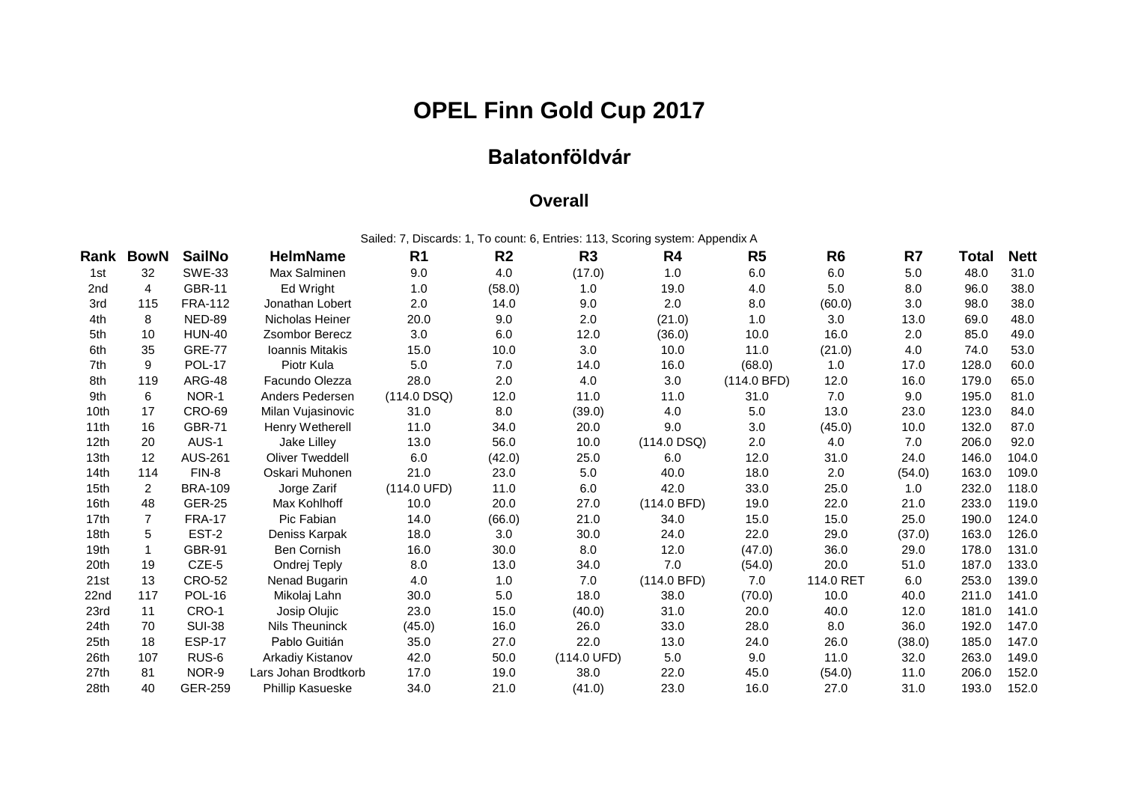## **OPEL Finn Gold Cup 2017**

## **Balatonföldvár**

## **Overall**

Sailed: 7, Discards: 1, To count: 6, Entries: 113, Scoring system: Appendix A

| Rank             | <b>BowN</b> | <b>SailNo</b>  | <b>HelmName</b>        | R <sub>1</sub> | R <sub>2</sub> | R <sub>3</sub>        | R <sub>4</sub> | R <sub>5</sub> | R <sub>6</sub> | R7     | Total | <b>Nett</b> |
|------------------|-------------|----------------|------------------------|----------------|----------------|-----------------------|----------------|----------------|----------------|--------|-------|-------------|
| 1st              | 32          | <b>SWE-33</b>  | Max Salminen           | 9.0            | 4.0            | (17.0)                | 1.0            | 6.0            | 6.0            | 5.0    | 48.0  | 31.0        |
| 2nd              | 4           | <b>GBR-11</b>  | Ed Wright              | 1.0            | (58.0)         | 1.0                   | 19.0           | 4.0            | 5.0            | 8.0    | 96.0  | 38.0        |
| 3rd              | 115         | <b>FRA-112</b> | Jonathan Lobert        | 2.0            | 14.0           | 9.0                   | 2.0            | 8.0            | (60.0)         | 3.0    | 98.0  | 38.0        |
| 4th              | 8           | NED-89         | Nicholas Heiner        | 20.0           | 9.0            | 2.0                   | (21.0)         | 1.0            | 3.0            | 13.0   | 69.0  | 48.0        |
| 5th              | 10          | <b>HUN-40</b>  | <b>Zsombor Berecz</b>  | 3.0            | 6.0            | 12.0                  | (36.0)         | 10.0           | 16.0           | 2.0    | 85.0  | 49.0        |
| 6th              | 35          | <b>GRE-77</b>  | Ioannis Mitakis        | 15.0           | 10.0           | 3.0                   | 10.0           | 11.0           | (21.0)         | 4.0    | 74.0  | 53.0        |
| 7th              | 9           | <b>POL-17</b>  | Piotr Kula             | 5.0            | 7.0            | 14.0                  | 16.0           | (68.0)         | 1.0            | 17.0   | 128.0 | 60.0        |
| 8th              | 119         | <b>ARG-48</b>  | Facundo Olezza         | 28.0           | 2.0            | 4.0                   | 3.0            | (114.0 BFD)    | 12.0           | 16.0   | 179.0 | 65.0        |
| 9th              | 6           | NOR-1          | Anders Pedersen        | $(114.0$ DSQ)  | 12.0           | 11.0                  | 11.0           | 31.0           | 7.0            | 9.0    | 195.0 | 81.0        |
| 10th             | 17          | <b>CRO-69</b>  | Milan Vujasinovic      | 31.0           | 8.0            | (39.0)                | 4.0            | 5.0            | 13.0           | 23.0   | 123.0 | 84.0        |
| 11th             | 16          | <b>GBR-71</b>  | Henry Wetherell        | 11.0           | 34.0           | 20.0                  | 9.0            | 3.0            | (45.0)         | 10.0   | 132.0 | 87.0        |
| 12 <sub>th</sub> | 20          | AUS-1          | Jake Lilley            | 13.0           | 56.0           | 10.0                  | $(114.0$ DSQ)  | 2.0            | 4.0            | 7.0    | 206.0 | 92.0        |
| 13 <sub>th</sub> | 12          | <b>AUS-261</b> | <b>Oliver Tweddell</b> | 6.0            | (42.0)         | 25.0                  | 6.0            | 12.0           | 31.0           | 24.0   | 146.0 | 104.0       |
| 14th             | 114         | FIN-8          | Oskari Muhonen         | 21.0           | 23.0           | 5.0                   | 40.0           | 18.0           | 2.0            | (54.0) | 163.0 | 109.0       |
| 15 <sub>th</sub> | 2           | <b>BRA-109</b> | Jorge Zarif            | (114.0 UFD)    | 11.0           | 6.0                   | 42.0           | 33.0           | 25.0           | 1.0    | 232.0 | 118.0       |
| 16th             | 48          | <b>GER-25</b>  | Max Kohlhoff           | 10.0           | 20.0           | 27.0                  | (114.0 BFD)    | 19.0           | 22.0           | 21.0   | 233.0 | 119.0       |
| 17th             | 7           | <b>FRA-17</b>  | Pic Fabian             | 14.0           | (66.0)         | 21.0                  | 34.0           | 15.0           | 15.0           | 25.0   | 190.0 | 124.0       |
| 18 <sub>th</sub> | 5           | EST-2          | Deniss Karpak          | 18.0           | 3.0            | 30.0                  | 24.0           | 22.0           | 29.0           | (37.0) | 163.0 | 126.0       |
| 19 <sub>th</sub> | 1           | <b>GBR-91</b>  | <b>Ben Cornish</b>     | 16.0           | 30.0           | 8.0                   | 12.0           | (47.0)         | 36.0           | 29.0   | 178.0 | 131.0       |
| 20th             | 19          | CZE-5          | Ondrej Teply           | 8.0            | 13.0           | 34.0                  | 7.0            | (54.0)         | 20.0           | 51.0   | 187.0 | 133.0       |
| 21st             | 13          | <b>CRO-52</b>  | Nenad Bugarin          | 4.0            | 1.0            | 7.0                   | (114.0 BFD)    | 7.0            | 114.0 RET      | 6.0    | 253.0 | 139.0       |
| 22nd             | 117         | <b>POL-16</b>  | Mikolaj Lahn           | 30.0           | 5.0            | 18.0                  | 38.0           | (70.0)         | 10.0           | 40.0   | 211.0 | 141.0       |
| 23rd             | 11          | CRO-1          | Josip Olujic           | 23.0           | 15.0           | (40.0)                | 31.0           | 20.0           | 40.0           | 12.0   | 181.0 | 141.0       |
| 24 <sub>th</sub> | 70          | <b>SUI-38</b>  | Nils Theuninck         | (45.0)         | 16.0           | 26.0                  | 33.0           | 28.0           | 8.0            | 36.0   | 192.0 | 147.0       |
| 25th             | 18          | <b>ESP-17</b>  | Pablo Guitián          | 35.0           | 27.0           | 22.0                  | 13.0           | 24.0           | 26.0           | (38.0) | 185.0 | 147.0       |
| 26th             | 107         | RUS-6          | Arkadiy Kistanov       | 42.0           | 50.0           | $(114.0 \text{ UFD})$ | 5.0            | 9.0            | 11.0           | 32.0   | 263.0 | 149.0       |
| 27 <sub>th</sub> | 81          | NOR-9          | Lars Johan Brodtkorb   | 17.0           | 19.0           | 38.0                  | 22.0           | 45.0           | (54.0)         | 11.0   | 206.0 | 152.0       |
| 28th             | 40          | <b>GER-259</b> | Phillip Kasueske       | 34.0           | 21.0           | (41.0)                | 23.0           | 16.0           | 27.0           | 31.0   | 193.0 | 152.0       |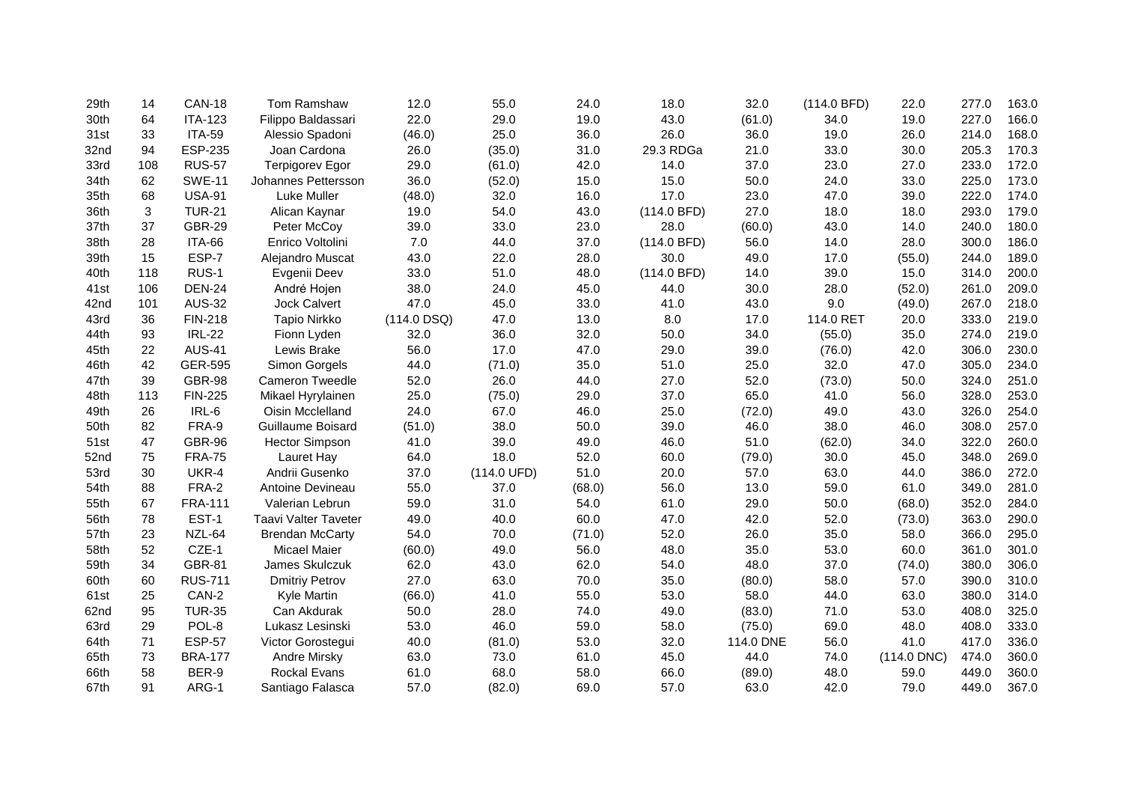| 29th | 14  | <b>CAN-18</b>  | Tom Ramshaw            | 12.0          | 55.0                  | 24.0   | 18.0        | 32.0      | (114.0 BFD) | 22.0          | 277.0 | 163.0 |
|------|-----|----------------|------------------------|---------------|-----------------------|--------|-------------|-----------|-------------|---------------|-------|-------|
| 30th | 64  | <b>ITA-123</b> | Filippo Baldassari     | 22.0          | 29.0                  | 19.0   | 43.0        | (61.0)    | 34.0        | 19.0          | 227.0 | 166.0 |
| 31st | 33  | <b>ITA-59</b>  | Alessio Spadoni        | (46.0)        | 25.0                  | 36.0   | 26.0        | 36.0      | 19.0        | 26.0          | 214.0 | 168.0 |
| 32nd | 94  | <b>ESP-235</b> | Joan Cardona           | 26.0          | (35.0)                | 31.0   | 29.3 RDGa   | 21.0      | 33.0        | 30.0          | 205.3 | 170.3 |
| 33rd | 108 | <b>RUS-57</b>  | <b>Terpigorev Egor</b> | 29.0          | (61.0)                | 42.0   | 14.0        | 37.0      | 23.0        | 27.0          | 233.0 | 172.0 |
| 34th | 62  | <b>SWE-11</b>  | Johannes Pettersson    | 36.0          | (52.0)                | 15.0   | 15.0        | 50.0      | 24.0        | 33.0          | 225.0 | 173.0 |
| 35th | 68  | <b>USA-91</b>  | Luke Muller            | (48.0)        | 32.0                  | 16.0   | 17.0        | 23.0      | 47.0        | 39.0          | 222.0 | 174.0 |
| 36th | 3   | <b>TUR-21</b>  | Alican Kaynar          | 19.0          | 54.0                  | 43.0   | (114.0 BFD) | 27.0      | 18.0        | 18.0          | 293.0 | 179.0 |
| 37th | 37  | <b>GBR-29</b>  | Peter McCoy            | 39.0          | 33.0                  | 23.0   | 28.0        | (60.0)    | 43.0        | 14.0          | 240.0 | 180.0 |
| 38th | 28  | ITA-66         | Enrico Voltolini       | 7.0           | 44.0                  | 37.0   | (114.0 BFD) | 56.0      | 14.0        | 28.0          | 300.0 | 186.0 |
| 39th | 15  | ESP-7          | Alejandro Muscat       | 43.0          | 22.0                  | 28.0   | 30.0        | 49.0      | 17.0        | (55.0)        | 244.0 | 189.0 |
| 40th | 118 | RUS-1          | Evgenii Deev           | 33.0          | 51.0                  | 48.0   | (114.0 BFD) | 14.0      | 39.0        | 15.0          | 314.0 | 200.0 |
| 41st | 106 | <b>DEN-24</b>  | André Hojen            | 38.0          | 24.0                  | 45.0   | 44.0        | 30.0      | 28.0        | (52.0)        | 261.0 | 209.0 |
| 42nd | 101 | <b>AUS-32</b>  | Jock Calvert           | 47.0          | 45.0                  | 33.0   | 41.0        | 43.0      | 9.0         | (49.0)        | 267.0 | 218.0 |
| 43rd | 36  | FIN-218        | Tapio Nirkko           | $(114.0$ DSQ) | 47.0                  | 13.0   | 8.0         | 17.0      | 114.0 RET   | 20.0          | 333.0 | 219.0 |
| 44th | 93  | <b>IRL-22</b>  | Fionn Lyden            | 32.0          | 36.0                  | 32.0   | 50.0        | 34.0      | (55.0)      | 35.0          | 274.0 | 219.0 |
| 45th | 22  | <b>AUS-41</b>  | Lewis Brake            | 56.0          | 17.0                  | 47.0   | 29.0        | 39.0      | (76.0)      | 42.0          | 306.0 | 230.0 |
| 46th | 42  | GER-595        | Simon Gorgels          | 44.0          | (71.0)                | 35.0   | 51.0        | 25.0      | 32.0        | 47.0          | 305.0 | 234.0 |
| 47th | 39  | <b>GBR-98</b>  | Cameron Tweedle        | 52.0          | 26.0                  | 44.0   | 27.0        | 52.0      | (73.0)      | 50.0          | 324.0 | 251.0 |
| 48th | 113 | <b>FIN-225</b> | Mikael Hyrylainen      | 25.0          | (75.0)                | 29.0   | 37.0        | 65.0      | 41.0        | 56.0          | 328.0 | 253.0 |
| 49th | 26  | IRL-6          | Oisin Mcclelland       | 24.0          | 67.0                  | 46.0   | 25.0        | (72.0)    | 49.0        | 43.0          | 326.0 | 254.0 |
| 50th | 82  | FRA-9          | Guillaume Boisard      | (51.0)        | 38.0                  | 50.0   | 39.0        | 46.0      | 38.0        | 46.0          | 308.0 | 257.0 |
| 51st | 47  | <b>GBR-96</b>  | <b>Hector Simpson</b>  | 41.0          | 39.0                  | 49.0   | 46.0        | 51.0      | (62.0)      | 34.0          | 322.0 | 260.0 |
| 52nd | 75  | <b>FRA-75</b>  | Lauret Hay             | 64.0          | 18.0                  | 52.0   | 60.0        | (79.0)    | 30.0        | 45.0          | 348.0 | 269.0 |
| 53rd | 30  | UKR-4          | Andrii Gusenko         | 37.0          | $(114.0 \text{ UFD})$ | 51.0   | 20.0        | 57.0      | 63.0        | 44.0          | 386.0 | 272.0 |
| 54th | 88  | FRA-2          | Antoine Devineau       | 55.0          | 37.0                  | (68.0) | 56.0        | 13.0      | 59.0        | 61.0          | 349.0 | 281.0 |
| 55th | 67  | <b>FRA-111</b> | Valerian Lebrun        | 59.0          | 31.0                  | 54.0   | 61.0        | 29.0      | 50.0        | (68.0)        | 352.0 | 284.0 |
| 56th | 78  | EST-1          | Taavi Valter Taveter   | 49.0          | 40.0                  | 60.0   | 47.0        | 42.0      | 52.0        | (73.0)        | 363.0 | 290.0 |
| 57th | 23  | NZL-64         | <b>Brendan McCarty</b> | 54.0          | 70.0                  | (71.0) | 52.0        | 26.0      | 35.0        | 58.0          | 366.0 | 295.0 |
| 58th | 52  | CZE-1          | <b>Micael Maier</b>    | (60.0)        | 49.0                  | 56.0   | 48.0        | 35.0      | 53.0        | 60.0          | 361.0 | 301.0 |
| 59th | 34  | <b>GBR-81</b>  | James Skulczuk         | 62.0          | 43.0                  | 62.0   | 54.0        | 48.0      | 37.0        | (74.0)        | 380.0 | 306.0 |
| 60th | 60  | <b>RUS-711</b> | <b>Dmitriy Petrov</b>  | 27.0          | 63.0                  | 70.0   | 35.0        | (80.0)    | 58.0        | 57.0          | 390.0 | 310.0 |
| 61st | 25  | CAN-2          | Kyle Martin            | (66.0)        | 41.0                  | 55.0   | 53.0        | 58.0      | 44.0        | 63.0          | 380.0 | 314.0 |
| 62nd | 95  | <b>TUR-35</b>  | Can Akdurak            | 50.0          | 28.0                  | 74.0   | 49.0        | (83.0)    | 71.0        | 53.0          | 408.0 | 325.0 |
| 63rd | 29  | POL-8          | Lukasz Lesinski        | 53.0          | 46.0                  | 59.0   | 58.0        | (75.0)    | 69.0        | 48.0          | 408.0 | 333.0 |
| 64th | 71  | <b>ESP-57</b>  | Victor Gorostegui      | 40.0          | (81.0)                | 53.0   | 32.0        | 114.0 DNE | 56.0        | 41.0          | 417.0 | 336.0 |
| 65th | 73  | <b>BRA-177</b> | Andre Mirsky           | 63.0          | 73.0                  | 61.0   | 45.0        | 44.0      | 74.0        | $(114.0$ DNC) | 474.0 | 360.0 |
| 66th | 58  | BER-9          | <b>Rockal Evans</b>    | 61.0          | 68.0                  | 58.0   | 66.0        | (89.0)    | 48.0        | 59.0          | 449.0 | 360.0 |
| 67th | 91  | ARG-1          | Santiago Falasca       | 57.0          | (82.0)                | 69.0   | 57.0        | 63.0      | 42.0        | 79.0          | 449.0 | 367.0 |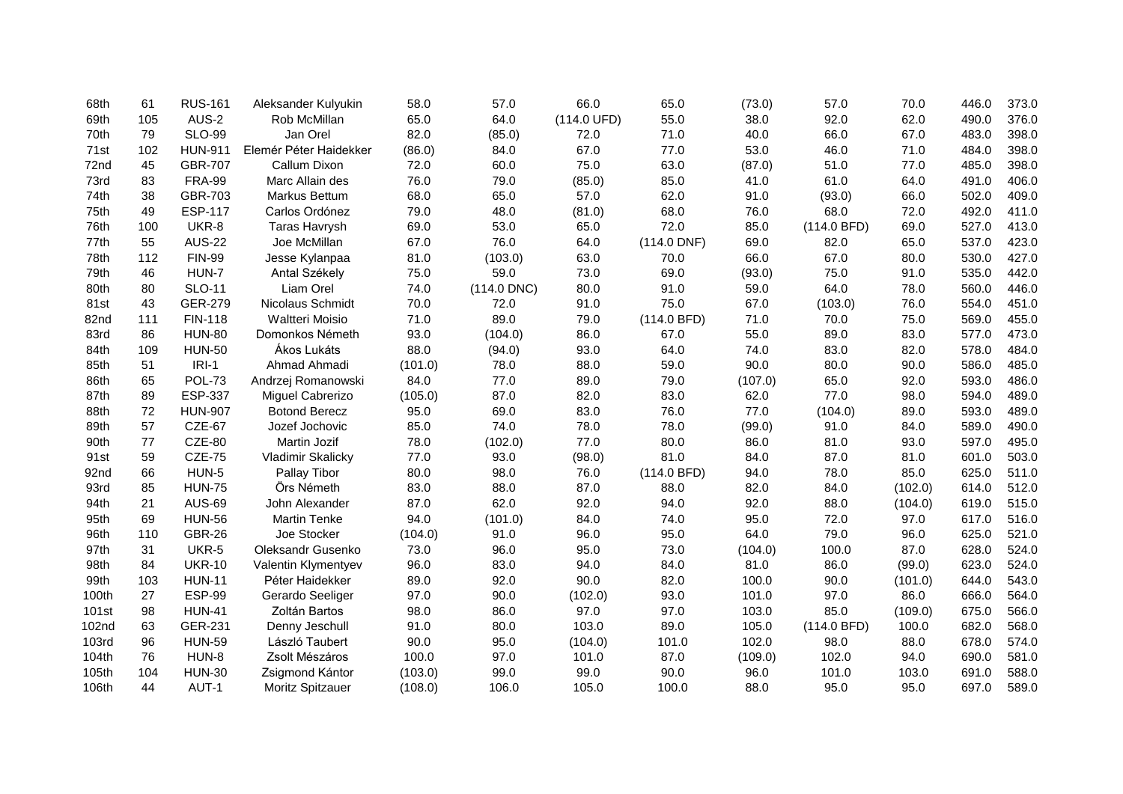| 68th              | 61  | <b>RUS-161</b> | Aleksander Kulyukin    | 58.0    | 57.0          | 66.0        | 65.0          | (73.0)  | 57.0        | 70.0    | 446.0 | 373.0 |
|-------------------|-----|----------------|------------------------|---------|---------------|-------------|---------------|---------|-------------|---------|-------|-------|
| 69th              | 105 | AUS-2          | Rob McMillan           | 65.0    | 64.0          | (114.0 UFD) | 55.0          | 38.0    | 92.0        | 62.0    | 490.0 | 376.0 |
| 70th              | 79  | <b>SLO-99</b>  | Jan Orel               | 82.0    | (85.0)        | 72.0        | 71.0          | 40.0    | 66.0        | 67.0    | 483.0 | 398.0 |
| 71st              | 102 | <b>HUN-911</b> | Elemér Péter Haidekker | (86.0)  | 84.0          | 67.0        | 77.0          | 53.0    | 46.0        | 71.0    | 484.0 | 398.0 |
| 72nd              | 45  | <b>GBR-707</b> | Callum Dixon           | 72.0    | 60.0          | 75.0        | 63.0          | (87.0)  | 51.0        | 77.0    | 485.0 | 398.0 |
| 73rd              | 83  | <b>FRA-99</b>  | Marc Allain des        | 76.0    | 79.0          | (85.0)      | 85.0          | 41.0    | 61.0        | 64.0    | 491.0 | 406.0 |
| 74th              | 38  | GBR-703        | Markus Bettum          | 68.0    | 65.0          | 57.0        | 62.0          | 91.0    | (93.0)      | 66.0    | 502.0 | 409.0 |
| 75th              | 49  | <b>ESP-117</b> | Carlos Ordónez         | 79.0    | 48.0          | (81.0)      | 68.0          | 76.0    | 68.0        | 72.0    | 492.0 | 411.0 |
| 76th              | 100 | UKR-8          | <b>Taras Havrysh</b>   | 69.0    | 53.0          | 65.0        | 72.0          | 85.0    | (114.0 BFD) | 69.0    | 527.0 | 413.0 |
| 77th              | 55  | <b>AUS-22</b>  | Joe McMillan           | 67.0    | 76.0          | 64.0        | $(114.0$ DNF) | 69.0    | 82.0        | 65.0    | 537.0 | 423.0 |
| 78th              | 112 | <b>FIN-99</b>  | Jesse Kylanpaa         | 81.0    | (103.0)       | 63.0        | 70.0          | 66.0    | 67.0        | 80.0    | 530.0 | 427.0 |
| 79th              | 46  | HUN-7          | Antal Székely          | 75.0    | 59.0          | 73.0        | 69.0          | (93.0)  | 75.0        | 91.0    | 535.0 | 442.0 |
| 80th              | 80  | <b>SLO-11</b>  | Liam Orel              | 74.0    | $(114.0$ DNC) | 80.0        | 91.0          | 59.0    | 64.0        | 78.0    | 560.0 | 446.0 |
| 81st              | 43  | <b>GER-279</b> | Nicolaus Schmidt       | 70.0    | 72.0          | 91.0        | 75.0          | 67.0    | (103.0)     | 76.0    | 554.0 | 451.0 |
| 82nd              | 111 | <b>FIN-118</b> | Waltteri Moisio        | 71.0    | 89.0          | 79.0        | (114.0 BFD)   | 71.0    | 70.0        | 75.0    | 569.0 | 455.0 |
| 83rd              | 86  | <b>HUN-80</b>  | Domonkos Németh        | 93.0    | (104.0)       | 86.0        | 67.0          | 55.0    | 89.0        | 83.0    | 577.0 | 473.0 |
| 84th              | 109 | <b>HUN-50</b>  | Ákos Lukáts            | 88.0    | (94.0)        | 93.0        | 64.0          | 74.0    | 83.0        | 82.0    | 578.0 | 484.0 |
| 85th              | 51  | $IRI-1$        | Ahmad Ahmadi           | (101.0) | 78.0          | 88.0        | 59.0          | 90.0    | 80.0        | 90.0    | 586.0 | 485.0 |
| 86th              | 65  | <b>POL-73</b>  | Andrzej Romanowski     | 84.0    | 77.0          | 89.0        | 79.0          | (107.0) | 65.0        | 92.0    | 593.0 | 486.0 |
| 87th              | 89  | <b>ESP-337</b> | Miguel Cabrerizo       | (105.0) | 87.0          | 82.0        | 83.0          | 62.0    | 77.0        | 98.0    | 594.0 | 489.0 |
| 88th              | 72  | <b>HUN-907</b> | <b>Botond Berecz</b>   | 95.0    | 69.0          | 83.0        | 76.0          | 77.0    | (104.0)     | 89.0    | 593.0 | 489.0 |
| 89th              | 57  | CZE-67         | Jozef Jochovic         | 85.0    | 74.0          | 78.0        | 78.0          | (99.0)  | 91.0        | 84.0    | 589.0 | 490.0 |
| 90th              | 77  | CZE-80         | Martin Jozif           | 78.0    | (102.0)       | 77.0        | 80.0          | 86.0    | 81.0        | 93.0    | 597.0 | 495.0 |
| 91st              | 59  | <b>CZE-75</b>  | Vladimir Skalicky      | 77.0    | 93.0          | (98.0)      | 81.0          | 84.0    | 87.0        | 81.0    | 601.0 | 503.0 |
| 92nd              | 66  | HUN-5          | Pallay Tibor           | 80.0    | 98.0          | 76.0        | (114.0 BFD)   | 94.0    | 78.0        | 85.0    | 625.0 | 511.0 |
| 93rd              | 85  | <b>HUN-75</b>  | Örs Németh             | 83.0    | 88.0          | 87.0        | 88.0          | 82.0    | 84.0        | (102.0) | 614.0 | 512.0 |
| 94th              | 21  | <b>AUS-69</b>  | John Alexander         | 87.0    | 62.0          | 92.0        | 94.0          | 92.0    | 88.0        | (104.0) | 619.0 | 515.0 |
| 95th              | 69  | <b>HUN-56</b>  | <b>Martin Tenke</b>    | 94.0    | (101.0)       | 84.0        | 74.0          | 95.0    | 72.0        | 97.0    | 617.0 | 516.0 |
| 96th              | 110 | <b>GBR-26</b>  | Joe Stocker            | (104.0) | 91.0          | 96.0        | 95.0          | 64.0    | 79.0        | 96.0    | 625.0 | 521.0 |
| 97th              | 31  | UKR-5          | Oleksandr Gusenko      | 73.0    | 96.0          | 95.0        | 73.0          | (104.0) | 100.0       | 87.0    | 628.0 | 524.0 |
| 98th              | 84  | <b>UKR-10</b>  | Valentin Klymentyev    | 96.0    | 83.0          | 94.0        | 84.0          | 81.0    | 86.0        | (99.0)  | 623.0 | 524.0 |
| 99th              | 103 | <b>HUN-11</b>  | Péter Haidekker        | 89.0    | 92.0          | 90.0        | 82.0          | 100.0   | 90.0        | (101.0) | 644.0 | 543.0 |
| 100th             | 27  | <b>ESP-99</b>  | Gerardo Seeliger       | 97.0    | 90.0          | (102.0)     | 93.0          | 101.0   | 97.0        | 86.0    | 666.0 | 564.0 |
| 101 <sub>st</sub> | 98  | <b>HUN-41</b>  | Zoltán Bartos          | 98.0    | 86.0          | 97.0        | 97.0          | 103.0   | 85.0        | (109.0) | 675.0 | 566.0 |
| 102nd             | 63  | GER-231        | Denny Jeschull         | 91.0    | 80.0          | 103.0       | 89.0          | 105.0   | (114.0 BFD) | 100.0   | 682.0 | 568.0 |
| 103rd             | 96  | <b>HUN-59</b>  | László Taubert         | 90.0    | 95.0          | (104.0)     | 101.0         | 102.0   | 98.0        | 88.0    | 678.0 | 574.0 |
| 104th             | 76  | HUN-8          | Zsolt Mészáros         | 100.0   | 97.0          | 101.0       | 87.0          | (109.0) | 102.0       | 94.0    | 690.0 | 581.0 |
| 105th             | 104 | <b>HUN-30</b>  | Zsigmond Kántor        | (103.0) | 99.0          | 99.0        | 90.0          | 96.0    | 101.0       | 103.0   | 691.0 | 588.0 |
| 106th             | 44  | AUT-1          | Moritz Spitzauer       | (108.0) | 106.0         | 105.0       | 100.0         | 88.0    | 95.0        | 95.0    | 697.0 | 589.0 |